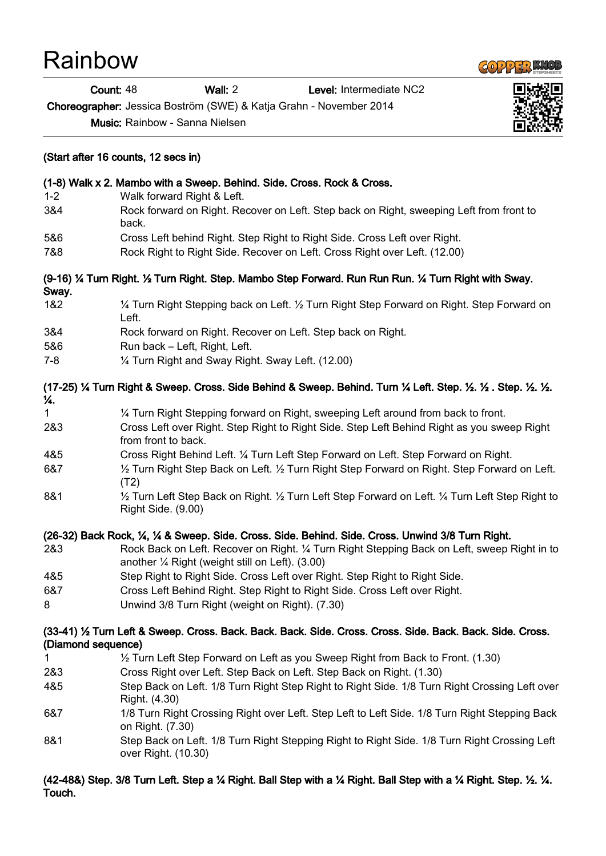# Rainbow

## **COPPER KNOP**

Count: 48 Wall: 2 Level: Intermediate NC2

Choreographer: Jessica Boström (SWE) & Katja Grahn - November 2014

Music: Rainbow - Sanna Nielsen

| (Start after 16 counts, 12 secs in) |                                                                                                                                                       |
|-------------------------------------|-------------------------------------------------------------------------------------------------------------------------------------------------------|
|                                     | (1-8) Walk x 2. Mambo with a Sweep. Behind. Side. Cross. Rock & Cross.                                                                                |
| $1 - 2$                             | Walk forward Right & Left.                                                                                                                            |
| 3&4                                 | Rock forward on Right. Recover on Left. Step back on Right, sweeping Left from front to<br>back.                                                      |
| 5&6                                 | Cross Left behind Right. Step Right to Right Side. Cross Left over Right.                                                                             |
| 7&8                                 | Rock Right to Right Side. Recover on Left. Cross Right over Left. (12.00)                                                                             |
| Sway.                               | (9-16) 1⁄4 Turn Right. 1⁄2 Turn Right. Step. Mambo Step Forward. Run Run Run. 1⁄4 Turn Right with Sway.                                               |
| 1&2                                 | 1/4 Turn Right Stepping back on Left. 1/2 Turn Right Step Forward on Right. Step Forward on<br>Left.                                                  |
| 3&4                                 | Rock forward on Right. Recover on Left. Step back on Right.                                                                                           |
| 5&6                                 | Run back - Left, Right, Left.                                                                                                                         |
| $7 - 8$                             | 1/4 Turn Right and Sway Right. Sway Left. (12.00)                                                                                                     |
| ¼.                                  | .17-25) ¼ Turn Right & Sweep. Cross. Side Behind & Sweep. Behind. Turn ¼ Left. Step. ½. ½ . Step. ½. ½                                                |
| 1.                                  | 1/4 Turn Right Stepping forward on Right, sweeping Left around from back to front.                                                                    |
| 2&3                                 | Cross Left over Right. Step Right to Right Side. Step Left Behind Right as you sweep Right<br>from front to back.                                     |
| 4&5                                 | Cross Right Behind Left. 1/4 Turn Left Step Forward on Left. Step Forward on Right.                                                                   |
| 6&7                                 | 1/2 Turn Right Step Back on Left. 1/2 Turn Right Step Forward on Right. Step Forward on Left.<br>(T2)                                                 |
| 8&1                                 | $\frac{1}{2}$ Turn Left Step Back on Right. $\frac{1}{2}$ Turn Left Step Forward on Left. $\frac{1}{4}$ Turn Left Step Right to<br>Right Side. (9.00) |
|                                     | (26-32) Back Rock, ¼, ¼ & Sweep. Side. Cross. Side. Behind. Side. Cross. Unwind 3/8 Turn Right.                                                       |
| 2&3                                 | Rock Back on Left. Recover on Right. 1/4 Turn Right Stepping Back on Left, sweep Right in to<br>another 1/4 Right (weight still on Left). (3.00)      |
| 4&5                                 | Step Right to Right Side. Cross Left over Right. Step Right to Right Side.                                                                            |
| 6&7                                 | Cross Left Behind Right. Step Right to Right Side. Cross Left over Right.                                                                             |
| 8                                   | Unwind 3/8 Turn Right (weight on Right). (7.30)                                                                                                       |
| (Diamond sequence)                  | (33-41) ½ Turn Left & Sweep. Cross. Back. Back. Back. Side. Cross. Cross. Side. Back. Back. Side. Cross.                                              |
| 1                                   | 1/2 Turn Left Step Forward on Left as you Sweep Right from Back to Front. (1.30)                                                                      |
| 2&3                                 | Cross Right over Left. Step Back on Left. Step Back on Right. (1.30)                                                                                  |
| 4&5                                 | Step Back on Left. 1/8 Turn Right Step Right to Right Side. 1/8 Turn Right Crossing Left over<br>Right. (4.30)                                        |
| 6&7                                 | 1/8 Turn Right Crossing Right over Left. Step Left to Left Side. 1/8 Turn Right Stepping Back<br>on Right. (7.30)                                     |
| 8&1                                 | Step Back on Left. 1/8 Turn Right Stepping Right to Right Side. 1/8 Turn Right Crossing Left<br>over Right. (10.30)                                   |
|                                     |                                                                                                                                                       |

### (42-48&) Step. 3/8 Turn Left. Step a ¼ Right. Ball Step with a ¼ Right. Ball Step with a ¼ Right. Step. ½. ¼. Touch.